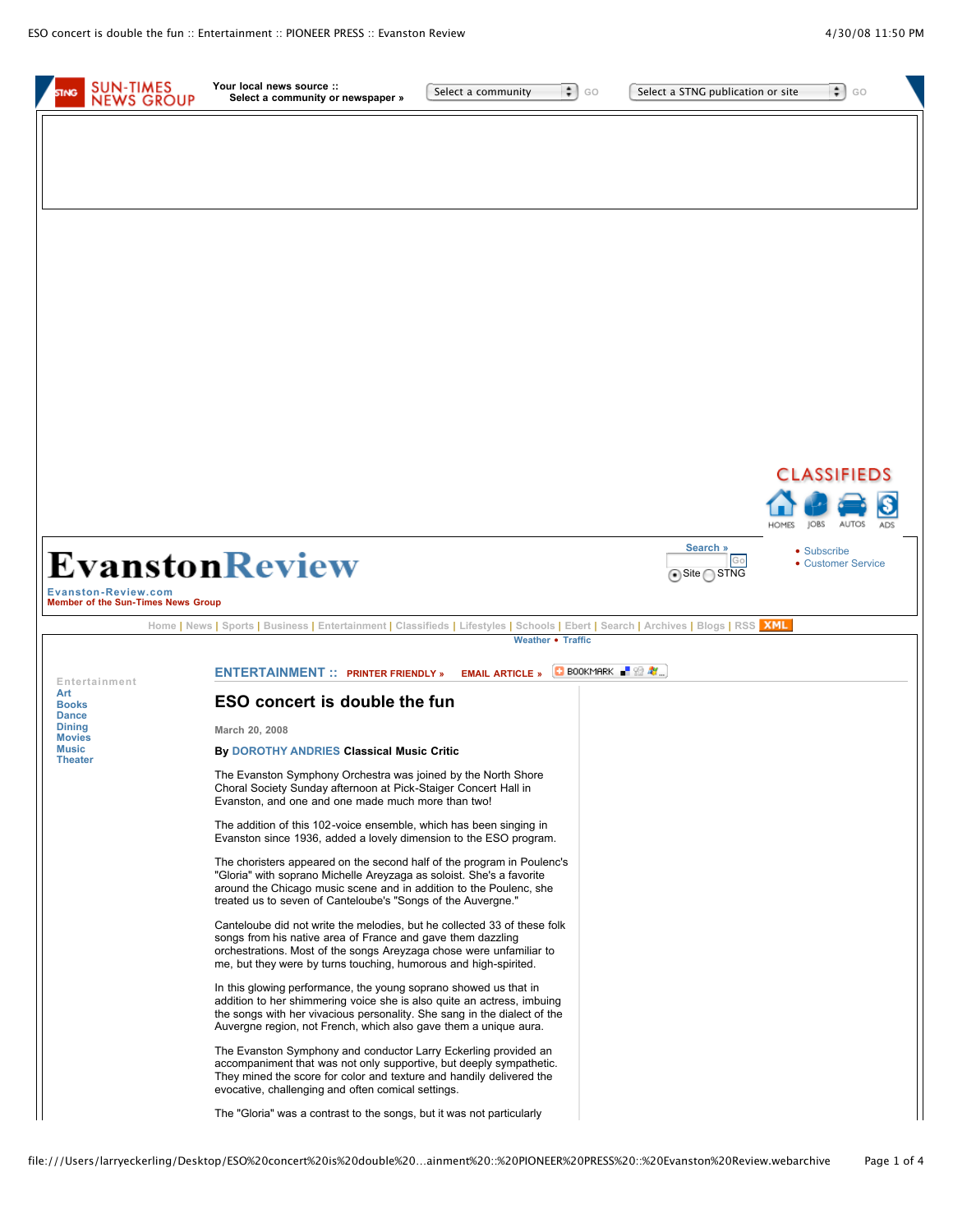